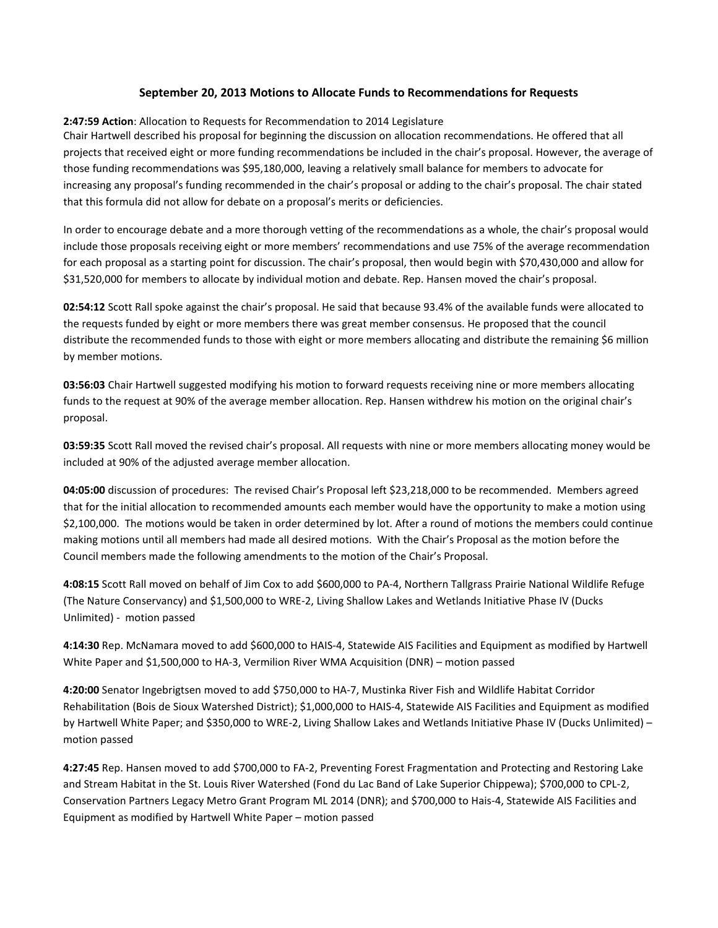## **September 20, 2013 Motions to Allocate Funds to Recommendations for Requests**

## **2:47:59 Action**: Allocation to Requests for Recommendation to 2014 Legislature

Chair Hartwell described his proposal for beginning the discussion on allocation recommendations. He offered that all projects that received eight or more funding recommendations be included in the chair's proposal. However, the average of those funding recommendations was \$95,180,000, leaving a relatively small balance for members to advocate for increasing any proposal's funding recommended in the chair's proposal or adding to the chair's proposal. The chair stated that this formula did not allow for debate on a proposal's merits or deficiencies.

In order to encourage debate and a more thorough vetting of the recommendations as a whole, the chair's proposal would include those proposals receiving eight or more members' recommendations and use 75% of the average recommendation for each proposal as a starting point for discussion. The chair's proposal, then would begin with \$70,430,000 and allow for \$31,520,000 for members to allocate by individual motion and debate. Rep. Hansen moved the chair's proposal.

**02:54:12** Scott Rall spoke against the chair's proposal. He said that because 93.4% of the available funds were allocated to the requests funded by eight or more members there was great member consensus. He proposed that the council distribute the recommended funds to those with eight or more members allocating and distribute the remaining \$6 million by member motions.

**03:56:03** Chair Hartwell suggested modifying his motion to forward requests receiving nine or more members allocating funds to the request at 90% of the average member allocation. Rep. Hansen withdrew his motion on the original chair's proposal.

**03:59:35** Scott Rall moved the revised chair's proposal. All requests with nine or more members allocating money would be included at 90% of the adjusted average member allocation.

**04:05:00** discussion of procedures: The revised Chair's Proposal left \$23,218,000 to be recommended. Members agreed that for the initial allocation to recommended amounts each member would have the opportunity to make a motion using \$2,100,000. The motions would be taken in order determined by lot. After a round of motions the members could continue making motions until all members had made all desired motions. With the Chair's Proposal as the motion before the Council members made the following amendments to the motion of the Chair's Proposal.

**4:08:15** Scott Rall moved on behalf of Jim Cox to add \$600,000 to PA-4, Northern Tallgrass Prairie National Wildlife Refuge (The Nature Conservancy) and \$1,500,000 to WRE-2, Living Shallow Lakes and Wetlands Initiative Phase IV (Ducks Unlimited) - motion passed

**4:14:30** Rep. McNamara moved to add \$600,000 to HAIS-4, Statewide AIS Facilities and Equipment as modified by Hartwell White Paper and \$1,500,000 to HA-3, Vermilion River WMA Acquisition (DNR) – motion passed

**4:20:00** Senator Ingebrigtsen moved to add \$750,000 to HA-7, Mustinka River Fish and Wildlife Habitat Corridor Rehabilitation (Bois de Sioux Watershed District); \$1,000,000 to HAIS-4, Statewide AIS Facilities and Equipment as modified by Hartwell White Paper; and \$350,000 to WRE-2, Living Shallow Lakes and Wetlands Initiative Phase IV (Ducks Unlimited) – motion passed

**4:27:45** Rep. Hansen moved to add \$700,000 to FA-2, Preventing Forest Fragmentation and Protecting and Restoring Lake and Stream Habitat in the St. Louis River Watershed (Fond du Lac Band of Lake Superior Chippewa); \$700,000 to CPL-2, Conservation Partners Legacy Metro Grant Program ML 2014 (DNR); and \$700,000 to Hais-4, Statewide AIS Facilities and Equipment as modified by Hartwell White Paper – motion passed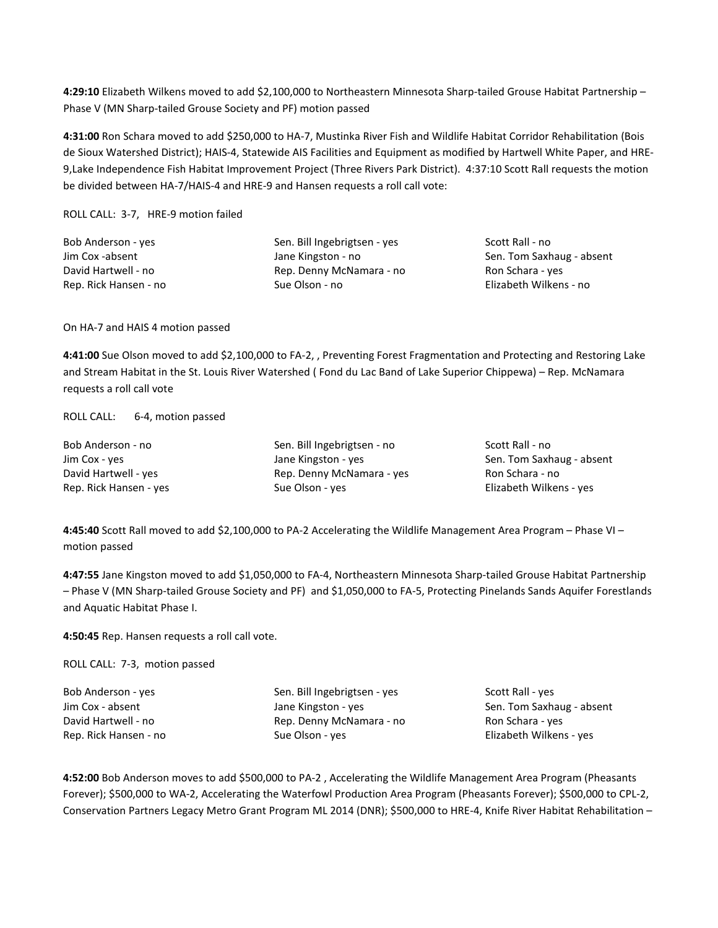**4:29:10** Elizabeth Wilkens moved to add \$2,100,000 to Northeastern Minnesota Sharp-tailed Grouse Habitat Partnership – Phase V (MN Sharp-tailed Grouse Society and PF) motion passed

**4:31:00** Ron Schara moved to add \$250,000 to HA-7, Mustinka River Fish and Wildlife Habitat Corridor Rehabilitation (Bois de Sioux Watershed District); HAIS-4, Statewide AIS Facilities and Equipment as modified by Hartwell White Paper, and HRE-9,Lake Independence Fish Habitat Improvement Project (Three Rivers Park District). 4:37:10 Scott Rall requests the motion be divided between HA-7/HAIS-4 and HRE-9 and Hansen requests a roll call vote:

ROLL CALL: 3-7, HRE-9 motion failed

| Bob Anderson - yes    | Sen. Bill Ingebrigtsen - yes | Scott  |
|-----------------------|------------------------------|--------|
| Jim Cox -absent       | Jane Kingston - no           | Sen. ' |
| David Hartwell - no   | Rep. Denny McNamara - no     | Ron S  |
| Rep. Rick Hansen - no | Sue Olson - no               | Elizal |

Rall - no Tom Saxhaug - absent Schara - yes beth Wilkens - no

On HA-7 and HAIS 4 motion passed

**4:41:00** Sue Olson moved to add \$2,100,000 to FA-2, , Preventing Forest Fragmentation and Protecting and Restoring Lake and Stream Habitat in the St. Louis River Watershed ( Fond du Lac Band of Lake Superior Chippewa) – Rep. McNamara requests a roll call vote

ROLL CALL: 6-4, motion passed

| Bob Anderson - no      | Sen. Bill Ingebrigtsen - no |
|------------------------|-----------------------------|
| Jim Cox - yes          | Jane Kingston - yes         |
| David Hartwell - yes   | Rep. Denny McNamara - yes   |
| Rep. Rick Hansen - yes | Sue Olson - yes             |

Scott Rall - no Sen. Tom Saxhaug - absent Ron Schara - no Elizabeth Wilkens - yes

**4:45:40** Scott Rall moved to add \$2,100,000 to PA-2 Accelerating the Wildlife Management Area Program – Phase VI – motion passed

**4:47:55** Jane Kingston moved to add \$1,050,000 to FA-4, Northeastern Minnesota Sharp-tailed Grouse Habitat Partnership – Phase V (MN Sharp-tailed Grouse Society and PF) and \$1,050,000 to FA-5, Protecting Pinelands Sands Aquifer Forestlands and Aquatic Habitat Phase I.

**4:50:45** Rep. Hansen requests a roll call vote.

ROLL CALL: 7-3, motion passed

| Bob Anderson - yes    |  |
|-----------------------|--|
| Jim Cox - absent      |  |
| David Hartwell - no   |  |
| Rep. Rick Hansen - no |  |

Sen. Bill Ingebrigtsen - yes Jane Kingston - yes Rep. Denny McNamara - no Sue Olson - yes

Scott Rall - yes Sen. Tom Saxhaug - absent Ron Schara - yes Elizabeth Wilkens - yes

**4:52:00** Bob Anderson moves to add \$500,000 to PA-2 , Accelerating the Wildlife Management Area Program (Pheasants Forever); \$500,000 to WA-2, Accelerating the Waterfowl Production Area Program (Pheasants Forever); \$500,000 to CPL-2, Conservation Partners Legacy Metro Grant Program ML 2014 (DNR); \$500,000 to HRE-4, Knife River Habitat Rehabilitation –